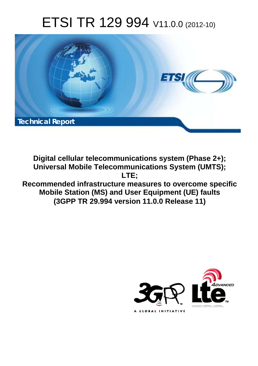# ETSI TR 129 994 V11.0.0 (2012-10)



**Digital cellular telecommunications system (Phase 2+); Universal Mobile Telecommunications System (UMTS); LTE; Recommended infrastructure measures to overcome specific** 

**Mobile Station (MS) and User Equipment (UE) faults (3GPP TR 29.994 version 11.0.0 Release 11)** 

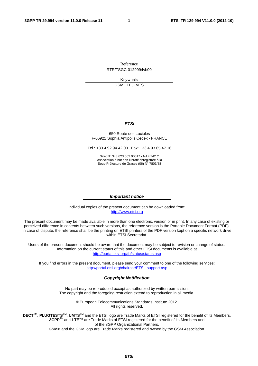Reference RTR/TSGC-0129994vb00

> Keywords GSM,LTE,UMTS

#### *ETSI*

#### 650 Route des Lucioles F-06921 Sophia Antipolis Cedex - FRANCE

Tel.: +33 4 92 94 42 00 Fax: +33 4 93 65 47 16

Siret N° 348 623 562 00017 - NAF 742 C Association à but non lucratif enregistrée à la Sous-Préfecture de Grasse (06) N° 7803/88

#### *Important notice*

Individual copies of the present document can be downloaded from: [http://www.etsi.org](http://www.etsi.org/)

The present document may be made available in more than one electronic version or in print. In any case of existing or perceived difference in contents between such versions, the reference version is the Portable Document Format (PDF). In case of dispute, the reference shall be the printing on ETSI printers of the PDF version kept on a specific network drive within ETSI Secretariat.

Users of the present document should be aware that the document may be subject to revision or change of status. Information on the current status of this and other ETSI documents is available at <http://portal.etsi.org/tb/status/status.asp>

If you find errors in the present document, please send your comment to one of the following services: [http://portal.etsi.org/chaircor/ETSI\\_support.asp](http://portal.etsi.org/chaircor/ETSI_support.asp)

#### *Copyright Notification*

No part may be reproduced except as authorized by written permission. The copyright and the foregoing restriction extend to reproduction in all media.

> © European Telecommunications Standards Institute 2012. All rights reserved.

**DECT**TM, **PLUGTESTS**TM, **UMTS**TM and the ETSI logo are Trade Marks of ETSI registered for the benefit of its Members. **3GPP**TM and **LTE**™ are Trade Marks of ETSI registered for the benefit of its Members and of the 3GPP Organizational Partners.

**GSM**® and the GSM logo are Trade Marks registered and owned by the GSM Association.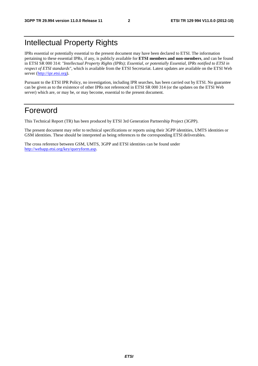## Intellectual Property Rights

IPRs essential or potentially essential to the present document may have been declared to ETSI. The information pertaining to these essential IPRs, if any, is publicly available for **ETSI members and non-members**, and can be found in ETSI SR 000 314: *"Intellectual Property Rights (IPRs); Essential, or potentially Essential, IPRs notified to ETSI in respect of ETSI standards"*, which is available from the ETSI Secretariat. Latest updates are available on the ETSI Web server [\(http://ipr.etsi.org](http://webapp.etsi.org/IPR/home.asp)).

Pursuant to the ETSI IPR Policy, no investigation, including IPR searches, has been carried out by ETSI. No guarantee can be given as to the existence of other IPRs not referenced in ETSI SR 000 314 (or the updates on the ETSI Web server) which are, or may be, or may become, essential to the present document.

## Foreword

This Technical Report (TR) has been produced by ETSI 3rd Generation Partnership Project (3GPP).

The present document may refer to technical specifications or reports using their 3GPP identities, UMTS identities or GSM identities. These should be interpreted as being references to the corresponding ETSI deliverables.

The cross reference between GSM, UMTS, 3GPP and ETSI identities can be found under [http://webapp.etsi.org/key/queryform.asp.](http://webapp.etsi.org/key/queryform.asp)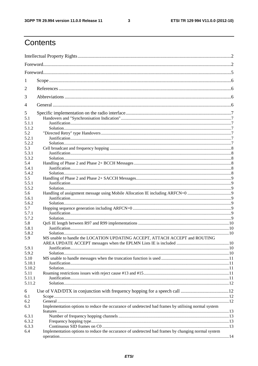$\mathbf{3}$ 

## Contents

| 1            |                                                                                                    |  |  |  |  |
|--------------|----------------------------------------------------------------------------------------------------|--|--|--|--|
| 2            |                                                                                                    |  |  |  |  |
| 3            |                                                                                                    |  |  |  |  |
| 4            |                                                                                                    |  |  |  |  |
| 5            |                                                                                                    |  |  |  |  |
| 5.1          |                                                                                                    |  |  |  |  |
| 5.1.1        |                                                                                                    |  |  |  |  |
| 5.1.2        |                                                                                                    |  |  |  |  |
| 5.2          |                                                                                                    |  |  |  |  |
| 5.2.1        |                                                                                                    |  |  |  |  |
| 5.2.2        |                                                                                                    |  |  |  |  |
| 5.3          |                                                                                                    |  |  |  |  |
| 5.3.1        |                                                                                                    |  |  |  |  |
| 5.3.2        |                                                                                                    |  |  |  |  |
| 5.4          |                                                                                                    |  |  |  |  |
| 5.4.1        |                                                                                                    |  |  |  |  |
| 5.4.2<br>5.5 |                                                                                                    |  |  |  |  |
| 5.5.1        |                                                                                                    |  |  |  |  |
| 5.5.2        |                                                                                                    |  |  |  |  |
| 5.6          |                                                                                                    |  |  |  |  |
| 5.6.1        |                                                                                                    |  |  |  |  |
| 5.6.2        |                                                                                                    |  |  |  |  |
| 5.7          |                                                                                                    |  |  |  |  |
| 5.7.1        |                                                                                                    |  |  |  |  |
| 5.7.2        |                                                                                                    |  |  |  |  |
| 5.8          |                                                                                                    |  |  |  |  |
| 5.8.1        |                                                                                                    |  |  |  |  |
| 5.8.2        |                                                                                                    |  |  |  |  |
| 5.9          | MS unable to handle the LOCATION UPDATING ACCEPT, ATTACH ACCEPT and ROUTING                        |  |  |  |  |
|              |                                                                                                    |  |  |  |  |
| 5.9.1        |                                                                                                    |  |  |  |  |
| 5.9.2        |                                                                                                    |  |  |  |  |
| 5.10         |                                                                                                    |  |  |  |  |
| 5.10.1       |                                                                                                    |  |  |  |  |
| 5.10.2       |                                                                                                    |  |  |  |  |
| 5.11         |                                                                                                    |  |  |  |  |
| 5.11.1       |                                                                                                    |  |  |  |  |
| 5.11.2       |                                                                                                    |  |  |  |  |
| 6            |                                                                                                    |  |  |  |  |
| 6.1          |                                                                                                    |  |  |  |  |
| 6.2          |                                                                                                    |  |  |  |  |
| 6.3          | Implementation options to reduce the occurance of undetected bad frames by utilising normal system |  |  |  |  |
|              |                                                                                                    |  |  |  |  |
| 6.3.1        |                                                                                                    |  |  |  |  |
| 6.3.2        |                                                                                                    |  |  |  |  |
| 6.3.3        |                                                                                                    |  |  |  |  |
| 6.4          | Implementation options to reduce the occurance of undetected bad frames by changing normal system  |  |  |  |  |
|              |                                                                                                    |  |  |  |  |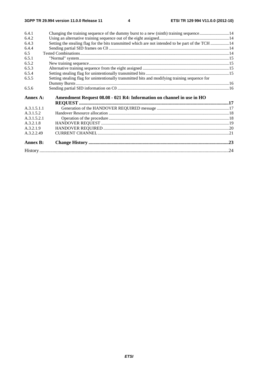$\overline{\mathbf{4}}$ 

| 6.4.1           | Changing the training sequence of the dummy burst to a new (ninth) training sequence14             |  |
|-----------------|----------------------------------------------------------------------------------------------------|--|
| 6.4.2           |                                                                                                    |  |
| 6.4.3           | Setting the stealing flag for the bits transmitted which are not intended to be part of the TCH 14 |  |
| 6.4.4           |                                                                                                    |  |
| 6.5             |                                                                                                    |  |
| 6.5.1           |                                                                                                    |  |
| 6.5.2           |                                                                                                    |  |
| 6.5.3           |                                                                                                    |  |
| 6.5.4           |                                                                                                    |  |
| 6.5.5           | Setting stealing flag for unintentionally transmitted bits and modifying training sequence for     |  |
|                 |                                                                                                    |  |
| 6.5.6           |                                                                                                    |  |
|                 |                                                                                                    |  |
| Annex A:        | Amendment Request 08.08 - 021 R4: Information on channel in use in HO                              |  |
| A.3.1.5.1.1     |                                                                                                    |  |
| A.3.1.5.2       |                                                                                                    |  |
| A.3.1.5.2.1     |                                                                                                    |  |
| A.3.2.1.8       |                                                                                                    |  |
| A.3.2.1.9       |                                                                                                    |  |
| A.3.2.2.49      |                                                                                                    |  |
| <b>Annex B:</b> |                                                                                                    |  |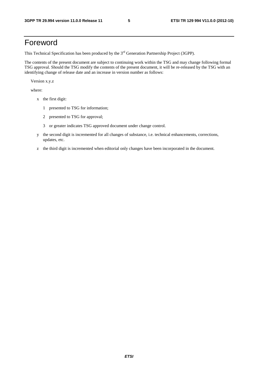## Foreword

This Technical Specification has been produced by the 3<sup>rd</sup> Generation Partnership Project (3GPP).

The contents of the present document are subject to continuing work within the TSG and may change following formal TSG approval. Should the TSG modify the contents of the present document, it will be re-released by the TSG with an identifying change of release date and an increase in version number as follows:

Version x.y.z

where:

- x the first digit:
	- 1 presented to TSG for information;
	- 2 presented to TSG for approval;
	- 3 or greater indicates TSG approved document under change control.
- y the second digit is incremented for all changes of substance, i.e. technical enhancements, corrections, updates, etc.
- z the third digit is incremented when editorial only changes have been incorporated in the document.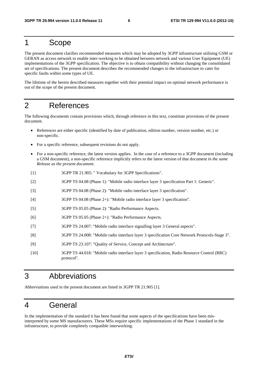## 1 Scope

The present document clarifies recommended measures which may be adopted by 3GPP infrastructure utilising GSM or GERAN as access network to enable inter-working to be obtained between network and various User Equipment (UE) implementations of the 3GPP specification. The objective is to obtain compatibility without changing the consolidated set of specifications. The present document describes the recommended changes to the infrastructure to cater for specific faults within some types of UE.

The lifetime of the herein described measures together with their potential impact on optimal network performance is out of the scope of the present document.

## 2 References

The following documents contain provisions which, through reference in this text, constitute provisions of the present document.

- References are either specific (identified by date of publication, edition number, version number, etc.) or non-specific.
- For a specific reference, subsequent revisions do not apply.
- For a non-specific reference, the latest version applies. In the case of a reference to a 3GPP document (including a GSM document), a non-specific reference implicitly refers to the latest version of that document *in the same Release as the present document*.
- [1] 3GPP TR 21.905: " Vocabulary for 3GPP Specifications".
- [2] 3GPP TS 04.08 (Phase 1): "Mobile radio interface layer 3 specification Part 1: Generic".
- [3] 3GPP TS 04.08 (Phase 2): "Mobile radio interface layer 3 specification".
- [4] 3GPP TS 04.08 (Phase 2+): "Mobile radio interface layer 3 specification".
- [5] 3GPP TS 05.05 (Phase 2): "Radio Performance Aspects.
- [6] 3GPP TS 05.05 (Phase 2+): "Radio Performance Aspects.
- [7] 3GPP TS 24.007: "Mobile radio interface signalling layer 3 General aspects".
- [8] 3GPP TS 24.008: "Mobile radio interface layer 3 specification Core Network Protocols-Stage 3".
- [9] 3GPP TS 23.107: "Quality of Service, Concept and Architecture".
- [10] 3GPP TS 44.018: "Mobile radio interface layer 3 specification, Radio Resource Control (RRC) protocol".

## 3 Abbreviations

Abbreviations used in the present document are listed in 3GPP TR 21.905 [1].

## 4 General

In the implementation of the standard it has been found that some aspects of the specifications have been misinterpreted by some MS manufacturers. These MSs require specific implementations of the Phase 1 standard in the infrastructure, to provide completely compatible interworking.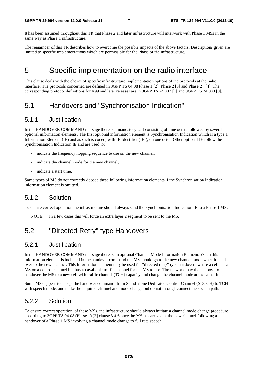It has been assumed throughout this TR that Phase 2 and later infrastructure will interwork with Phase 1 MSs in the same way as Phase 1 infrastructure.

The remainder of this TR describes how to overcome the possible impacts of the above factors. Descriptions given are limited to specific implementations which are permissible for the Phase of the infrastructure.

## 5 Specific implementation on the radio interface

This clause deals with the choice of specific infrastructure implementation options of the protocols at the radio interface. The protocols concerned are defined in 3GPP TS 04.08 Phase 1 [2], Phase 2 [3] and Phase 2+ [4]. The corresponding protocol definitions for R99 and later releases are in 3GPP TS 24.007 [7] and 3GPP TS 24.008 [8].

## 5.1 Handovers and "Synchronisation Indication"

### 5.1.1 Justification

In the HANDOVER COMMAND message there is a mandatory part consisting of nine octets followed by several optional information elements. The first optional information element is Synchronisation Indication which is a type 1 Information Element (IE) and as such is coded, with IE Identifier (IEI), on one octet. Other optional IE follow the Synchronisation Indication IE and are used to:

- indicate the frequency hopping sequence to use on the new channel;
- indicate the channel mode for the new channel:
- indicate a start time.

Some types of MS do not correctly decode these following information elements if the Synchronisation Indication information element is omitted.

### 5.1.2 Solution

To ensure correct operation the infrastructure should always send the Synchronisation Indication IE to a Phase 1 MS.

NOTE: In a few cases this will force an extra layer 2 segment to be sent to the MS.

## 5.2 "Directed Retry" type Handovers

### 5.2.1 Justification

In the HANDOVER COMMAND message there is an optional Channel Mode Information Element. When this information element is included in the handover command the MS should go to the new channel mode when it hands over to the new channel. This information element may be used for "directed retry" type handovers where a cell has an MS on a control channel but has no available traffic channel for the MS to use. The network may then choose to handover the MS to a new cell with traffic channel (TCH) capacity and change the channel mode at the same time.

Some MSs appear to accept the handover command, from Stand-alone Dedicated Control Channel (SDCCH) to TCH with speech mode, and make the required channel and mode change but do not through connect the speech path.

### 5.2.2 Solution

To ensure correct operation, of these MSs, the infrastructure should always initiate a channel mode change procedure according to 3GPP TS 04.08 (Phase 1) [2] clause 3.4.6 once the MS has arrived at the new channel following a handover of a Phase 1 MS involving a channel mode change to full rate speech.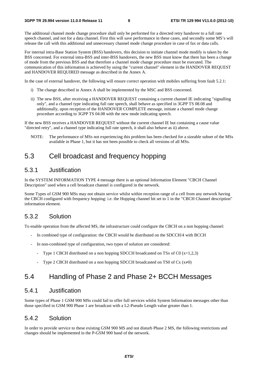The additional channel mode change procedure shall only be performed for a directed retry handover to a full rate speech channel, and not for a data channel. First this will save performance in these cases, and secondly some MS's will release the call with this additional and unnecessary channel mode change procedure in case of fax or data calls.

For internal intra-Base Station System (BSS) handovers, this decision to initiate channel mode modify is taken by the BSS concerned. For external intra-BSS and inter-BSS handovers, the new BSS must know that there has been a change of mode from the previous BSS and that therefore a channel mode change procedure must be executed. The communication of this information is achieved by using the "current channel" element in the HANDOVER REQUEST and HANDOVER REQUIRED message as described in the Annex A.

In the case of external handover, the following will ensure correct operation with mobiles suffering from fault 5.2.1:

- i) The change described in Annex A shall be implemented by the MSC and BSS concerned.
- ii) The new BSS, after receiving a HANDOVER REQUEST containing a current channel IE indicating "signalling only", and a channel type indicating full rate speech, shall behave as specified in 3GPP TS 08.08 and additionally, upon reception of the HANDOVER COMPLETE message, initiate a channel mode change procedure according to 3GPP TS 04.08 with the new mode indicating speech.

If the new BSS receives a HANDOVER REQUEST without the current channel IE but containing a cause value "directed retry", and a channel type indicating full rate speech, it shall also behave as ii) above.

NOTE: The performance of MSs not experiencing this problem has been checked for a sizeable subset of the MSs available in Phase 1, but it has not been possible to check all versions of all MSs.

### 5.3 Cell broadcast and frequency hopping

### 5.3.1 Justification

In the SYSTEM INFORMATION TYPE 4 message there is an optional Information Element "CBCH Channel Description" used when a cell broadcast channel is configured in the network.

Some Types of GSM 900 MSs may not obtain service whilst within reception range of a cell from any network having the CBCH configured with frequency hopping: i.e. the Hopping channel bit set to 1 in the "CBCH Channel description" information element.

### 5.3.2 Solution

To enable operation from the affected MS, the infrastructure could configure the CBCH on a non hopping channel:

- In combined type of configuration: the CBCH would be distributed on the SDCCH/4 with BCCH
- In non-combined type of configuration, two types of solution are considered:
	- Type 1 CBCH distributed on a non hopping SDCCH broadcasted on TSx of C0  $(x=1,2,3)$
	- Type 2 CBCH distributed on a non hopping SDCCH broadcasted on TS0 of Cx  $(x\neq 0)$

### 5.4 Handling of Phase 2 and Phase 2+ BCCH Messages

### 5.4.1 Justification

Some types of Phase 1 GSM 900 MSs could fail to offer full services whilst System Information messages other than those specified in GSM 900 Phase 1 are broadcast with a L2-Pseudo Length value greater than 1.

### 5.4.2 Solution

In order to provide service to these existing GSM 900 MS and not disturb Phase 2 MS, the following restrictions and changes should be implemented in the P-GSM 900 band of the network.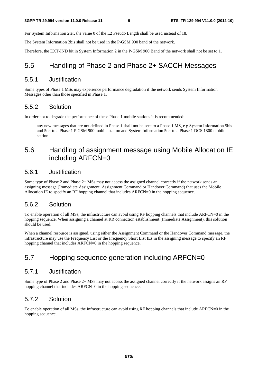For System Information 2ter, the value 0 of the L2 Pseudo Length shall be used instead of 18.

The System Information 2bis shall not be used in the P-GSM 900 band of the network.

Therefore, the EXT-IND bit in System Information 2 in the P-GSM 900 Band of the network shall not be set to 1.

### 5.5 Handling of Phase 2 and Phase 2+ SACCH Messages

### 5.5.1 Justification

Some types of Phase 1 MSs may experience performance degradation if the network sends System Information Messages other than those specified in Phase 1.

### 5.5.2 Solution

In order not to degrade the performance of these Phase 1 mobile stations it is recommended:

 any new messages that are not defined in Phase 1 shall not be sent to a Phase 1 MS, e.g System Information 5bis and 5ter to a Phase 1 P GSM 900 mobile station and System Information 5ter to a Phase 1 DCS 1800 mobile station.

### 5.6 Handling of assignment message using Mobile Allocation IE including ARFCN=0

#### 5.6.1 Justification

Some type of Phase 2 and Phase 2+ MSs may not access the assigned channel correctly if the network sends an assigning message (Immediate Assignment, Assignment Command or Handover Command) that uses the Mobile Allocation IE to specify an RF hopping channel that includes ARFCN=0 in the hopping sequence.

### 5.6.2 Solution

To enable operation of all MSs, the infrastructure can avoid using RF hopping channels that include ARFCN=0 in the hopping sequence. When assigning a channel at RR connection establishment (Immediate Assignment), this solution should be used.

When a channel resource is assigned, using either the Assignment Command or the Handover Command message, the infrastructure may use the Frequency List or the Frequency Short List IEs in the assigning message to specify an RF hopping channel that includes ARFCN=0 in the hopping sequence.

## 5.7 Hopping sequence generation including ARFCN=0

### 5.7.1 Justification

Some type of Phase 2 and Phase 2+ MSs may not access the assigned channel correctly if the network assigns an RF hopping channel that includes ARFCN=0 in the hopping sequence.

### 5.7.2 Solution

To enable operation of all MSs, the infrastructure can avoid using RF hopping channels that include ARFCN=0 in the hopping sequence.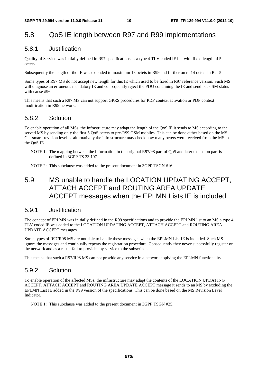## 5.8 QoS IE length between R97 and R99 implementations

### 5.8.1 Justification

Quality of Service was initially defined in R97 specifications as a type 4 TLV coded IE but with fixed length of 5 octets.

Subsequently the length of the IE was extended to maximum 13 octets in R99 and further on to 14 octets in Rel-5.

Some types of R97 MS do not accept new length for this IE which used to be fixed in R97 reference version. Such MS will diagnose an erroneous mandatory IE and consequently reject the PDU containing the IE and send back SM status with cause #96.

This means that such a R97 MS can not support GPRS procedures for PDP context activation or PDP context modification in R99 network.

### 5.8.2 Solution

To enable operation of all MSs, the infrastructure may adapt the length of the QoS IE it sends to MS according to the served MS by sending only the first 5 QoS octets to pre-R99 GSM mobiles. This can be done either based on the MS Classmark revision level or alternatively the infrastructure may check how many octets were received from the MS in the QoS IE.

- NOTE 1: The mapping between the information in the original R97/98 part of QoS and later extension part is defined in 3GPP TS 23.107.
- NOTE 2: This subclause was added to the present document in 3GPP TSGN #16.

## 5.9 MS unable to handle the LOCATION UPDATING ACCEPT, ATTACH ACCEPT and ROUTING AREA UPDATE ACCEPT messages when the EPLMN Lists IE is included

#### 5.9.1 Justification

The concept of EPLMN was initially defined in the R99 specifications and to provide the EPLMN list to an MS a type 4 TLV coded IE was added to the LOCATION UPDATING ACCEPT, ATTACH ACCEPT and ROUTING AREA UPDATE ACCEPT messages.

Some types of R97/R98 MS are not able to handle these messages when the EPLMN List IE is included. Such MS ignore the messages and continually repeats the registration procedure. Consequently they never successfully register on the network and as a result fail to provide any service to the subscriber.

This means that such a R97/R98 MS can not provide any service in a network applying the EPLMN functionality.

### 5.9.2 Solution

To enable operation of the affected MSs, the infrastructure may adapt the contents of the LOCATION UPDATING ACCEPT, ATTACH ACCEPT and ROUTING AREA UPDATE ACCEPT message it sends to an MS by excluding the EPLMN List IE added in the R99 version of the specifications. This can be done based on the MS Revision Level Indicator.

NOTE 1: This subclause was added to the present document in 3GPP TSGN #25.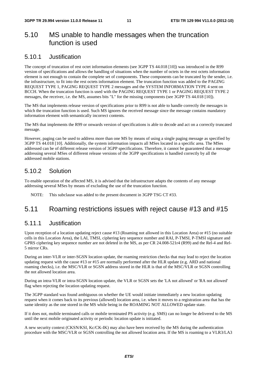### 5.10 MS unable to handle messages when the truncation function is used

### 5.10.1 Justification

The concept of truncation of rest octet information elements (see 3GPP TS 44.018 [10]) was introduced in the R99 version of specifications and allows the handling of situations when the number of octets in the rest octets information element is not enough to contain the complete set of components. These components can be truncated by the sender, i.e. the infrastructure, to fit into the rest octets information element. The truncation function was added to the PAGING REQUEST TYPE 1, PAGING REQUEST TYPE 2 messages and the SYSTEM INFORMATION TYPE 4 sent on BCCH. When the truncation function is used with the PAGING REQUEST TYPE 1 or PAGING REQUEST TYPE 2 messages, the receiver, i.e. the MS, assumes bits "L" for the missing components (see 3GPP TS 44.018 [10]).

The MS that implements release version of specifications prior to R99 is not able to handle correctly the messages in which the truncation function is used. Such MS ignores the received message since the message contains mandatory information element with semantically incorrect contents.

The MS that implements the R99 or onwards version of specifications is able to decode and act on a correctly truncated message.

However, paging can be used to address more than one MS by means of using a single paging message as specified by 3GPP TS 44.018 [10]. Additionally, the system information impacts all MSes located in a specific area. The MSes addressed can be of different release version of 3GPP specifications. Therefore, it cannot be guaranteed that a message addressing several MSes of different release versions of the 3GPP specifications is handled correctly by all the addressed mobile stations.

### 5.10.2 Solution

To enable operation of the affected MS, it is advised that the infrastructure adapts the contents of any message addressing several MSes by means of excluding the use of the truncation function.

NOTE: This subclause was added to the present document in 3GPP TSG CT #33.

### 5.11 Roaming restrictions issues with reject cause #13 and #15

### 5.11.1 Justification

Upon reception of a location updating reject cause #13 (Roaming not allowed in this Location Area) or #15 (no suitable cells in this Location Area), the LAI, TMSI, ciphering key sequence number and RAI, P-TMSI, P-TMSI signature and GPRS ciphering key sequence number are not deleted in the MS, as per CR 24.008-521r4 (R99) and the Rel-4 and Rel-5 mirror CRs.

During an inter-VLR or inter-SGSN location update, the roaming restriction checks that may lead to reject the location updating request with the cause #13 or #15 are normally performed after the HLR update (e.g. ARD and national roaming checks), i.e. the MSC/VLR or SGSN address stored in the HLR is that of the MSC/VLR or SGSN controlling the not allowed location area.

During an intra-VLR or intra-SGSN location update, the VLR or SGSN sets the 'LA not allowed' or 'RA not allowed' flag when rejecting the location updating request.

The 3GPP standard was found ambiguous on whether the UE would initiate immediately a new location updating request when it comes back to its previous (allowed) location area, i.e. when it moves to a registration area that has the same identity as the one stored in the MS while being in the ROAMING NOT ALLOWED update state.

If it does not, mobile terminated calls or mobile terminated PS activity (e.g. SMS) can no longer be delivered to the MS until the next mobile originated activity or periodic location update is initiated.

A new security context (CKSN/KSI, Kc/CK-IK) may also have been received by the MS during the authentication procedure with the MSC/VLR or SGSN controlling the not allowed location area. If the MS is roaming to a VLR3/LA3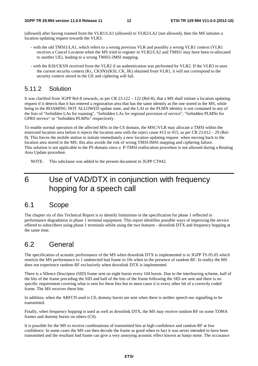(allowed) after having roamed from the VLR1/LA1 (allowed) to VLR2/LA2 (not allowed), then the MS initiates a location updating request towards the VLR3:

- with the old TMSI1/LA1, which refers to a wrong previous VLR and possibly a wrong VLR1 context (VLR1 receives a Cancel Location when the MS tried to register in VLR2/LA2 and TMSI1 may have been re-allocated to another UE), leading to a wrong TMSI1-IMSI mapping.
- with the KSI/CKSN received from the VLR2 if an authentication was performed by VLR2. If the VLR3 re-uses the current security context (Kc, CKSN)/(KSI, CK, IK) obtained from VLR1, it will not correspond to the security context stored in the UE and ciphering will fail.

### 5.11.2 Solution

It was clarified from 3GPP Rel-8 onwards, as per CR 23.122 – 122 (Rel-8), that a MS shall initiate a location updating request if it detects that it has entered a registration area that has the same identity as the one stored in the MS, while being in the ROAMING NOT ALLOWED update state, and the LAI or the PLMN identity is not contained in any of the lists of "forbidden LAs for roaming", "forbidden LAs for regional provision of service", "forbidden PLMNs for GPRS service" or "forbidden PLMNs" respectively.

To enable normal operation of the affected MSs in the CS domain, the MSC/VLR may allocate a TMSI within the restricted location area before it rejects the location area with the reject cause #13 or #15, as per CR 23.012 – 29 (Rel-8). This forces the mobile station to initiate immediately a new location updating request when moving back to the location area stored in the MS; this also avoids the risk of wrong TMSI-IMSI mapping and ciphering failure. This solution is not applicable to the PS domain since a P-TMSI reallocation procedure is not allowed during a Routing Area Update procedure.

NOTE: This subclause was added to the present document in 3GPP CT#42.

## 6 Use of VAD/DTX in conjunction with frequency hopping for a speech call

### 6.1 Scope

The chapter six of this Technical Report is to identify limitations in the specification for phase 1 reflected in performance degradation in phase 1 terminal equipment. This report identifies possible ways of improving the service offered to subscribers using phase 1 terminals whilst using the two features - downlink DTX and frequency hopping at the same time.

## 6.2 General

The specification of acoustic performance of the MS when downlink DTX is implemented is in 3GPP TS 05.05 which restricts the MS performance to 1 undetected bad frame in 10s when in the presence of random RF. In reality the MS does not experience random RF exclusively when downlink DTX is implemented.

There is a SIlence Descriptor (SID) frame sent on eight bursts every 104 bursts. Due to the interleaving scheme, half of the bits of the frame preceding the SID and half of the bits of the frame following the SID are sent and there is no specific requirement covering what is sent for these bits but in most cases it is every other bit of a correctly coded frame. The MS receives these bits

In addition, when the ARFCN used is C0, dummy bursts are sent when there is neither speech nor signalling to be transmitted.

Finally, when frequency hopping is used as well as downlink DTX, the MS may receive random RF on some TDMA frames and dummy bursts on others (C0).

It is possible for the MS to receive combinations of transmitted bits at high confidence and random RF at low confidence. In some cases the MS can then decode the frame as good when in fact it was never intended to have been transmitted and the resultant bad frame can give a very annoying acoustic effect known as banjo noise. The occurance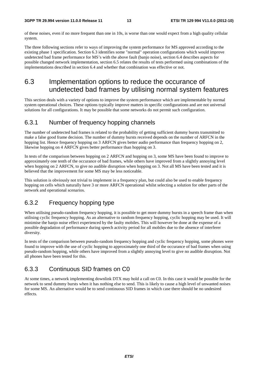of these noises, even if no more frequent than one in 10s, is worse than one would expect from a high quality cellular system.

The three following sections refer to ways of improving the system performance for MS approved according to the existing phase 1 specification. Section 6.3 identifies some "normal" operation configurations which would improve undetected bad frame performance for MS's with the above fault (banjo noise), section 6.4 describes aspects for possible changed network implementation, section 6.5 relates the results of tests performed using combinations of the implementations described in section 6.4 and whether that combination was effective or not.

### 6.3 Implementation options to reduce the occurance of undetected bad frames by utilising normal system features

This section deals with a variety of options to improve the system performance which are implementable by normal system operational choices. These options typically improve matters in specific configurations and are not universal solutions for all configurations. It may be possible that some networks do not permit such configuration.

### 6.3.1 Number of frequency hopping channels

The number of undetected bad frames is related to the probability of getting sufficient dummy bursts transmitted to make a false good frame decision. The number of dummy bursts received depends on the number of ARFCN in the hopping list. Hence frequency hopping on 3 ARFCN gives better audio performance than frequency hopping on 2, likewise hopping on 4 ARFCN gives better performance than hopping on 3.

In tests of the comparison between hopping on 2 ARFCN and hopping on 3, some MS have been found to improve to approximately one tenth of the occurance of bad frames, while others have improved from a slightly annoying level when hopping on 2 ARFCN, to give no audible disruption when hopping on 3. Not all MS have been tested and it is believed that the improvement for some MS may be less noticeable.

This solution is obviously not trivial to implement in a frequency plan, but could also be used to enable frequency hopping on cells which naturally have 3 or more ARFCN operational whilst selecting a solution for other parts of the network and operational scenarios.

### 6.3.2 Frequency hopping type

When utilising pseudo-random frequency hopping, it is possible to get more dummy bursts in a speech frame than when utilising cyclic frequency hopping. As an alternative to random frequency hopping, cyclic hopping may be used. It will minimise the banjo noise effect experienced by the faulty mobiles. This will however be done at the expense of a possible degradation of performance during speech activity period for all mobiles due to the absence of interferer diversity.

In tests of the comparison between pseudo-random frequency hopping and cyclic frequency hopping, some phones were found to improve with the use of cyclic hopping to approximately one third of the occurance of bad frames when using pseudo-random hopping, while others have improved from a slightly annoying level to give no audible disruption. Not all phones have been tested for this.

### 6.3.3 Continuous SID frames on C0

At some times, a network implementing downlink DTX may hold a call on C0. In this case it would be possible for the network to send dummy bursts when it has nothing else to send. This is likely to cause a high level of unwanted noises for some MS. An alternative would be to send continuous SID frames in which case there should be no undesired effects.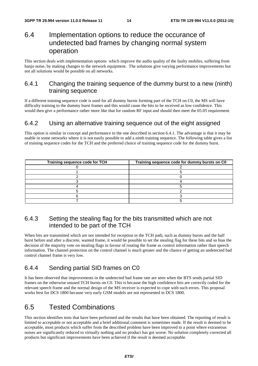## 6.4 Implementation options to reduce the occurance of undetected bad frames by changing normal system operation

This section deals with implementation options which improve the audio quality of the faulty mobiles, suffering from banjo noise, by making changes to the network equipment. The solutions give varying performance improvements but not all solutions would be possible on all networks.

### 6.4.1 Changing the training sequence of the dummy burst to a new (ninth) training sequence

If a different training sequence code is used for all dummy bursts forming part of the TCH on C0, the MS will have difficulty training to the dummy burst frames and this would cause the bits to be received as low confidence. This would then give a performance rather more like that for random RF input and should then meet the 05.05 requirement.

### 6.4.2 Using an alternative training sequence out of the eight assigned

This option is similar in concept and performance to the one described in section 6.4.1. The advantage is that it may be usable in some networks where it is not easily possible to add a ninth training sequence. The following table gives a list of training sequence codes for the TCH and the preferred choice of training sequence code for the dummy burst.

| Training sequence code for TCH | Training sequence code for dummy bursts on C0 |
|--------------------------------|-----------------------------------------------|
|                                |                                               |
|                                |                                               |
|                                |                                               |
|                                |                                               |
|                                |                                               |
|                                |                                               |
|                                |                                               |
|                                |                                               |

### 6.4.3 Setting the stealing flag for the bits transmitted which are not intended to be part of the TCH

When bits are transmitted which are not intended for reception in the TCH path, such as dummy bursts and the half burst before and after a discrete, wanted frame, it would be possible to set the stealing flag for these bits and so bias the decision of the majority vote on stealing flags in favour of routing the frame as control information rather than speech information. The channel protection on the control channel is much greater and the chance of getting an undetected bad control channel frame is very low.

### 6.4.4 Sending partial SID frames on C0

It has been observed that improvements in the undetected bad frame rate are seen when the BTS sends partial SID frames on the otherwise unused TCH bursts on C0. This is because the high confidence bits are correctly coded for the relevant speech frame and the normal design of the MS receiver is expected to cope with such errors. This proposal works best for DCS 1800 because very early GSM models are not represented in DCS 1800.

## 6.5 Tested Combinations

This section identifies tests that have been performed and the results that have been obtained. The reporting of result is limited to acceptable or not acceptable and a brief additional comment is sometimes made. If the result is deemed to be acceptable, most products which suffer from the described problem have been improved to a point where extraneous noises are significantly reduced to virtually nothing and no product has got worse. No solution completely corrected all products but significant improvements have been achieved if the result is deemed acceptable.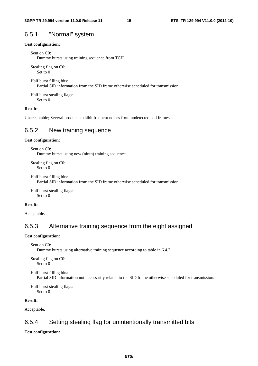#### 6.5.1 "Normal" system

#### **Test configuration:**

```
Sent on C0:
```
Dummy bursts using training sequence from TCH.

Stealing flag on C0: Set to 0

Half burst filling bits: Partial SID information from the SID frame otherwise scheduled for transmission.

Half burst stealing flags: Set to 0

#### **Result:**

Unacceptable; Several products exhibit frequent noises from undetected bad frames.

### 6.5.2 New training sequence

#### **Test configuration:**

Sent on C0: Dummy bursts using new (ninth) training sequence.

Stealing flag on C0: Set to 0

```
Half burst filling bits: 
Partial SID information from the SID frame otherwise scheduled for transmission.
```
Half burst stealing flags: Set to 0

#### **Result:**

Acceptable.

### 6.5.3 Alternative training sequence from the eight assigned

#### **Test configuration:**

```
Sent on C0:
```
Dummy bursts using alternative training sequence according to table in 6.4.2.

Stealing flag on C0: Set to 0

Half burst filling bits:

Partial SID information not necessarily related to the SID frame otherwise scheduled for transmission.

Half burst stealing flags: Set to 0

#### **Result:**

Acceptable.

### 6.5.4 Setting stealing flag for unintentionally transmitted bits

#### **Test configuration:**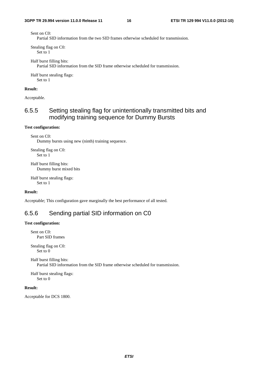Sent on C0:

Partial SID information from the two SID frames otherwise scheduled for transmission.

Stealing flag on C0: Set to 1

Half burst filling bits: Partial SID information from the SID frame otherwise scheduled for transmission.

Half burst stealing flags: Set to 1

#### **Result:**

Acceptable.

### 6.5.5 Setting stealing flag for unintentionally transmitted bits and modifying training sequence for Dummy Bursts

#### **Test configuration:**

Sent on C0: Dummy bursts using new (ninth) training sequence.

Stealing flag on C0: Set to 1

Half burst filling bits: Dummy burst mixed bits

Half burst stealing flags: Set to 1

**Result:**

Acceptable; This configuration gave marginally the best performance of all tested.

### 6.5.6 Sending partial SID information on C0

#### **Test configuration:**

Sent on C0: Part SID frames

Stealing flag on C0: Set to 0

Half burst filling bits: Partial SID information from the SID frame otherwise scheduled for transmission.

Half burst stealing flags: Set to 0

#### **Result:**

Acceptable for DCS 1800.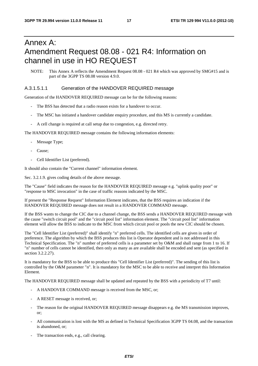## Annex A: Amendment Request 08.08 - 021 R4: Information on channel in use in HO REQUEST

NOTE: This Annex A reflects the Amendment Request 08.08 - 021 R4 which was approved by SMG#15 and is part of the 3GPP TS 08.08 version 4.9.0.

#### A.3.1.5.1.1 Generation of the HANDOVER REQUIRED message

Generation of the HANDOVER REQUIRED message can be for the following reasons:

- The BSS has detected that a radio reason exists for a handover to occur.
- The MSC has initiated a handover candidate enquiry procedure, and this MS is currently a candidate.
- A cell change is required at call setup due to congestion, e.g. directed retry.

The HANDOVER REQUIRED message contains the following information elements:

- Message Type;
- Cause;
- Cell Identifier List (preferred).

It should also contain the "Current channel" information element.

Sec. 3.2.1.9. gives coding details of the above message.

The "Cause" field indicates the reason for the HANDOVER REQUIRED message e.g. "uplink quality poor" or "response to MSC invocation" in the case of traffic reasons indicated by the MSC.

If present the "Response Request" Information Element indicates, that the BSS requires an indication if the HANDOVER REQUIRED message does not result in a HANDOVER COMMAND message.

If the BSS wants to change the CIC due to a channel change, the BSS sends a HANDOVER REQUIRED message with the cause "switch circuit pool" and the "circuit pool list" information element. The "circuit pool list" information element will allow the BSS to indicate to the MSC from which circuit pool or pools the new CIC should be chosen.

The "Cell Identifier List (preferred)" shall identify "n" preferred cells. The identified cells are given in order of preference. The algorithm by which the BSS produces this list is Operator dependent and is not addressed in this Technical Specification. The "n" number of preferred cells is a parameter set by O&M and shall range from 1 to 16. If "n" number of cells cannot be identified, then only as many as are available shall be encoded and sent (as specified in section 3.2.2.27).

It is mandatory for the BSS to be able to produce this "Cell Identifier List (preferred)". The sending of this list is controlled by the O&M parameter "n". It is mandatory for the MSC to be able to receive and interpret this Information Element.

The HANDOVER REQUIRED message shall be updated and repeated by the BSS with a periodicity of T7 until:

- A HANDOVER COMMAND message is received from the MSC, or;
- A RESET message is received, or;
- The reason for the original HANDOVER REQUIRED message disappears e.g. the MS transmission improves, or;
- All communication is lost with the MS as defined in Technical Specification 3GPP TS 04.08, and the transaction is abandoned, or;
- The transaction ends, e.g., call clearing.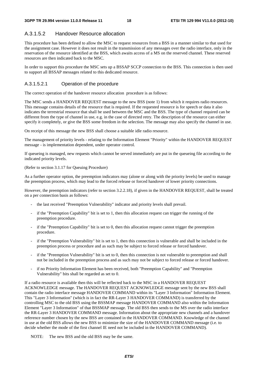### A.3.1.5.2 Handover Resource allocation

This procedure has been defined to allow the MSC to request resources from a BSS in a manner similar to that used for the assignment case. However it does not result in the transmission of any messages over the radio interface, only in the reservation of the resource identified at the BSS, which awaits access of a MS on the reserved channel. These reserved resources are then indicated back to the MSC.

In order to support this procedure the MSC sets up a BSSAP SCCP connection to the BSS. This connection is then used to support all BSSAP messages related to this dedicated resource.

#### A.3.1.5.2.1 Operation of the procedure

The correct operation of the handover resource allocation procedure is as follows:

The MSC sends a HANDOVER REQUEST message to the new BSS (note 1) from which it requires radio resources. This message contains details of the resource that is required. If the requested resource is for speech or data it also indicates the terrestrial resource that shall be used between the MSC and the BSS. The type of channel required can be different from the type of channel in use, e.g. in the case of directed retry. The description of the resource can either specify it completely, or give the BSS some freedom in the selection. The message may also specify the channel in use.

On receipt of this message the new BSS shall choose a suitable idle radio resource.

The management of priority levels - relating to the Information Element "Priority" within the HANDOVER REQUEST message - is implementation dependent, under operator control.

If queueing is managed, new requests which cannot be served immediately are put in the queueing file according to the indicated priority levels.

(Refer to section 3.1.17 for Queuing Procedure)

As a further operator option, the preemption indicators may (alone or along with the priority levels) be used to manage the preemption process, which may lead to the forced release or forced handover of lower priority connections.

However, the preemption indicators (refer to section 3.2.2.18), if given in the HANDOVER REQUEST, shall be treated on a per connection basis as follows:

- the last received "Preemption Vulnerability" indicator and priority levels shall prevail.
- if the "Preemption Capability" bit is set to 1, then this allocation request can trigger the running of the preemption procedure.
- if the "Preemption Capability" bit is set to 0, then this allocation request cannot trigger the preemption procedure.
- if the "Preemption Vulnerability" bit is set to 1, then this connection is vulnerable and shall be included in the preemption process or procedure and as such may be subject to forced release or forced handover.
- if the "Preemption Vulnerability" bit is set to 0, then this connection is not vulnerable to preemption and shall not be included in the preemption process and as such may not be subject to forced release or forced handover.
- if no Priority Information Element has been received, both "Preemption Capability" and "Preemption Vulnerability" bits shall be regarded as set to 0.

If a radio resource is available then this will be reflected back to the MSC in a HANDOVER REQUEST ACKNOWLEDGE message. The HANDOVER REQUEST ACKNOWLEDGE message sent by the new BSS shall contain the radio interface message HANDOVER COMMAND within its "Layer 3 Information" Information Element. This "Layer 3 Information" (which is in fact the RR-Layer 3 HANDOVER COMMAND) is transferred by the controlling MSC to the old BSS using the BSSMAP message HANDOVER COMMAND also within the Information Element "Layer 3 Information" of that BSSMAP message. The old BSS then sends to the MS over the radio interface the RR-Layer 3 HANDOVER COMMAND message. Information about the appropriate new channels and a handover reference number chosen by the new BSS are contained in the HANDOVER COMMAND. Knowledge of the channel in use at the old BSS allows the new BSS to minimize the size of the HANDOVER COMMAND message (i.e. to decide whether the mode of the first channel IE need not be included in the HANDOVER COMMAND).

NOTE: The new BSS and the old BSS may be the same.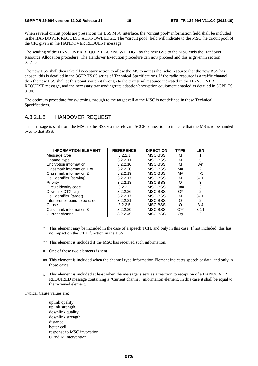When several circuit pools are present on the BSS MSC interface, the "circuit pool" information field shall be included in the HANDOVER REQUEST ACKNOWLEDGE. The "circuit pool" field will indicate to the MSC the circuit pool of the CIC given in the HANDOVER REQUEST message.

The sending of the HANDOVER REQUEST ACKNOWLEDGE by the new BSS to the MSC ends the Handover Resource Allocation procedure. The Handover Execution procedure can now proceed and this is given in section 3.1.5.3.

The new BSS shall then take all necessary action to allow the MS to access the radio resource that the new BSS has chosen, this is detailed in the 3GPP TS 05 series of Technical Specifications. If the radio resource is a traffic channel then the new BSS shall at this point switch it through to the terrestrial resource indicated in the HANDOVER REQUEST message, and the necessary transcoding/rate adaption/encryption equipment enabled as detailed in 3GPP TS 04.08.

The optimum procedure for switching through to the target cell at the MSC is not defined in these Technical Specifications.

#### A.3.2.1.8 HANDOVER REQUEST

This message is sent from the MSC to the BSS via the relevant SCCP connection to indicate that the MS is to be handed over to that BSS.

| <b>INFORMATION ELEMENT</b>   | <b>REFERENCE</b> | <b>DIRECTION</b> | <b>TYPE</b> | <b>LEN</b> |
|------------------------------|------------------|------------------|-------------|------------|
| Message type                 | 3.2.2.1          | MSC-BSS          | M           |            |
| Channel type                 | 3.2.2.11         | MSC-BSS          | М           | 5          |
| Encryption information       | 3.2.2.10         | MSC-BSS          | м           | $3-n$      |
| Classmark information 1 or   | 3.2.2.30         | MSC-BSS          | M#          | 2          |
| lClassmark information 2     | 3.2.2.19         | MSC-BSS          | M#          | $4 - 5$    |
| Cell identifier (serving)    | 3.2.2.17         | MSC-BSS          | М           | $5 - 10$   |
| Priority                     | 3.2.2.18         | MSC-BSS          | O           | 3          |
| Circuit identity code        | 3.2.2.2          | MSC-BSS          | O##         | 3          |
| Downlink DTX flag            | 3.2.2.26         | MSC-BSS          | $O^*$       | 2          |
| Cell identifier (target)     | 3.2.2.17         | MSC-BSS          | М           | $3 - 10$   |
| Interference band to be used | 3.2.2.21         | MSC-BSS          | O           | 2          |
| Cause                        | 3.2.2.5          | MSC-BSS          | Ω           | $3 - 4$    |
| IClassmark information 3     | 3.2.2.20         | MSC-BSS          | $O^{**}$    | $3-14$     |
| Current channel              | 3.2.2.49         | MSC-BSS          | Οş          | 2          |

- This element may be included in the case of a speech TCH, and only in this case. If not included, this has no impact on the DTX function in the BSS.
- \*\* This element is included if the MSC has received such information.
- # One of these two elements is sent.
- ## This element is included when the channel type Information Element indicates speech or data, and only in those cases.
- § This element is included at least when the message is sent as a reaction to reception of a HANDOVER REQUIRED message containing a "Current channel" information element. In this case it shall be equal to the received element.

Typical Cause values are:

 uplink quality, uplink strength, downlink quality, downlink strength distance, better cell, response to MSC invocation O and M intervention,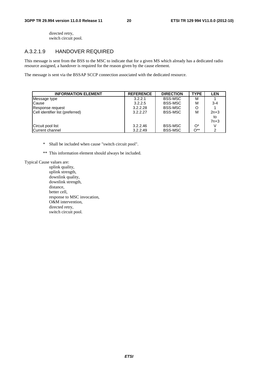directed retry, switch circuit pool.

### A.3.2.1.9 HANDOVER REQUIRED

This message is sent from the BSS to the MSC to indicate that for a given MS which already has a dedicated radio resource assigned, a handover is required for the reason given by the cause element.

The message is sent via the BSSAP SCCP connection associated with the dedicated resource.

| <b>INFORMATION ELEMENT</b>       | <b>REFERENCE</b> | <b>DIRECTION</b> | <b>TYPE</b> | <b>LEN</b> |
|----------------------------------|------------------|------------------|-------------|------------|
| Message type                     | 3.2.2.1          | <b>BSS-MSC</b>   | М           |            |
| <b>Cause</b>                     | 3.2.2.5          | <b>BSS-MSC</b>   | М           | $3 - 4$    |
| Response request                 | 3.2.2.28         | <b>BSS-MSC</b>   | O           |            |
| Cell identifier list (preferred) | 3.2.2.27         | <b>BSS-MSC</b>   | M           | $2n+3$     |
|                                  |                  |                  |             | to         |
|                                  |                  |                  |             | $7n+3$     |
| Circuit pool list                | 3.2.2.46         | <b>BSS-MSC</b>   | $O^*$       |            |
| Current channel                  | 3.2.2.49         | <b>BSS-MSC</b>   | $O^{**}$    | 2          |

- \* Shall be included when cause "switch circuit pool".
- \*\* This information element should always be included.

Typical Cause values are:

 uplink quality, uplink strength, downlink quality, downlink strength, distance, better cell, response to MSC invocation, O&M intervention, directed retry, switch circuit pool.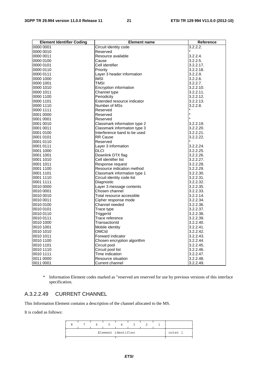| <b>Element Identifier Coding</b> | <b>Element name</b>          | Reference |
|----------------------------------|------------------------------|-----------|
| 0000 0001                        | Circuit identity code        | 3.2.2.2.  |
| 0000 0010                        | Reserved                     |           |
| 0000 0011                        | Resource available           | 3.2.2.4.  |
| 0000 0100                        | Cause                        | 3.2.2.5.  |
| 0000 0101                        | Cell identifier              | 3.2.2.17. |
| 0000 0110                        | Priority                     | 3.2.2.18. |
| 0000 0111                        | Layer 3 header information   | 3.2.2.9.  |
| 0000 1000                        | <b>IMSI</b>                  | 3.2.2.6.  |
| 0000 1001                        | <b>TMSI</b>                  | 3.2.2.7.  |
| 0000 1010                        | Encryption information       | 3.2.2.10. |
| 0000 1011                        | Channel type                 | 3.2.2.11. |
| 0000 1100                        | Periodicity                  | 3.2.2.12. |
| 0000 1101                        | Extended resource indicator  | 3.2.2.13. |
| 0000 1110                        | Number of MSs                | 3.2.2.8.  |
| 0000 1111                        | Reserved                     |           |
| 0001 0000                        | Reserved                     |           |
| 0001 0001                        | Reserved                     |           |
| 0001 0010                        | Classmark information type 2 | 3.2.2.19. |
| 0001 0011                        | Classmark information type 3 | 3.2.2.20. |
| 0001 0100                        | Interference band to be used | 3.2.2.21. |
| 0001 0101                        | <b>RR Cause</b>              | 3.2.2.22. |
| 0001 0110                        | Reserved                     |           |
| 0001 0111                        | Layer 3 information          | 3.2.2.24. |
| 0001 1000                        | <b>DLCI</b>                  | 3.2.2.25. |
| 0001 1001                        | Downlink DTX flag            | 3.2.2.26. |
| 0001 1010                        | Cell identifier list         | 3.2.2.27. |
| 0001 1011                        | Response request             | 3.2.2.28. |
| 0001 1100                        | Resource indication method   | 3.2.2.29. |
| 0001 1101                        | Classmark information type 1 | 3.2.2.30. |
| 0001 1110                        | Circuit identity code list   | 3.2.2.31. |
| 0001 1111                        | Diagnostic                   | 3.2.2.32. |
| 0010 0000                        | Layer 3 message contents     | 3.2.2.35. |
| 0010 0001                        | Chosen channel               | 3.2.2.33. |
| 0010 0010                        | Total resource accessible    | 3.2.2.14. |
| 0010 0011                        | Cipher response mode         | 3.2.2.34. |
| 0010 0100                        | Channel needed               | 3.2.2.36. |
| 0010 0101                        | Trace type                   | 3.2.2.37. |
| 0010 0110                        | TriggerId                    | 3.2.2.38. |
| 0010 0111                        | Trace reference              | 3.2.2.39. |
| 0010 1000                        | TransactionId                | 3.2.2.40. |
| 0010 1001                        | Mobile identity              | 3.2.2.41. |
| 0010 1010                        | <b>OMCId</b>                 | 3.2.2.42. |
| 0010 1011                        | Forward indicator            | 3.2.2.43. |
| 0010 1100                        | Chosen encryption algorithm  | 3.2.2.44. |
| 0010 1101                        | Circuit pool                 | 3.2.2.45. |
| 0010 1110                        | Circuit pool list            | 3.2.2.46. |
| 0010 1111                        | Time indication              | 3.2.2.47. |
| 0011 0000                        | Resource situation           | 3.2.2.48. |
| 0011 0001                        | Current channel              | 3.2.2.49. |

\* Information Element codes marked as "reserved are reserved for use by previous versions of this interface specification.

### A.3.2.2.49 CURRENT CHANNEL

This Information Element contains a description of the channel allocated to the MS.

It is coded as follows:

|  |  | Element identifier |  |  | octet 1 |
|--|--|--------------------|--|--|---------|
|  |  |                    |  |  |         |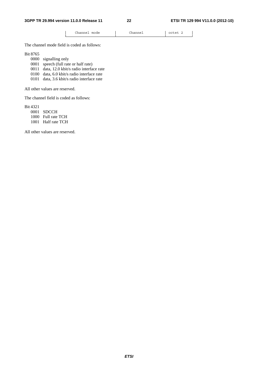└───────────────────────┴───────────────────────┴────────────┘

│ Channel mode │ Channel │ octet 2 │

The channel mode field is coded as follows:

Bit 8765

- 0000 signalling only
- 0001 speech (full rate or half rate)
- 0011 data, 12.0 kbit/s radio interface rate
- 0100 data, 6.0 kbit/s radio interface rate
- 0101 data, 3.6 kbit/s radio interface rate

All other values are reserved.

The channel field is coded as follows:

Bit 4321

 0001 SDCCH 1000 Full rate TCH

1001 Half rate TCH

All other values are reserved.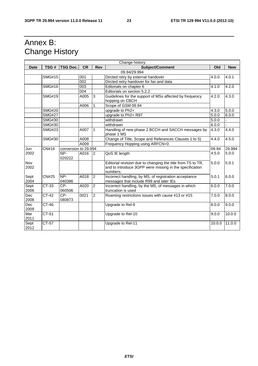## Annex B: Change History

|             |               |                      |           |                | Change history                                              |        |            |
|-------------|---------------|----------------------|-----------|----------------|-------------------------------------------------------------|--------|------------|
| <b>Date</b> | TSG#          | <b>TSG Doc.</b>      | <b>CR</b> | Rev            | Subject/Comment                                             | Old    | <b>New</b> |
|             | 09.94/29.994  |                      |           |                |                                                             |        |            |
|             | <b>SMG#15</b> |                      | 001       |                | Dircted retry by external handover                          | 4.0.0  | 4.0.1      |
|             |               |                      | 002       |                | Dircted retry handover for fax and data                     |        |            |
|             | SMG#16        |                      | 003       |                | Editorials on chapter 6                                     | 4.1.0  | 4.2.0      |
|             |               |                      | 004       |                | Editorials on section 5.2.2                                 |        |            |
|             | <b>SMG#19</b> |                      | A005      | 3              | Guidelines for the support of MSs affected by frequency     | 4.2.0  | 4.3.0      |
|             |               |                      |           |                | hopping on CBCH                                             |        |            |
|             |               |                      | A006      | 1              | Scope of GSM 09.94                                          |        |            |
|             | <b>SMG#20</b> |                      |           |                | upgrade to Ph2+                                             | 4.3.0  | 5.0.0      |
|             | <b>SMG#27</b> |                      |           |                | upgrade to Ph2+ R97                                         | 5.0.0  | 6.0.0      |
|             | <b>SMG#30</b> |                      |           |                | withdrawn                                                   | 5.0.0  |            |
|             | <b>SMG#30</b> |                      |           |                | withdrawn                                                   | 6.0.0  |            |
|             | <b>SMG#23</b> |                      | A007      | 1              | Handling of new phase 2 BCCH and SACCH messages by          | 4.3.0  | 4.4.0      |
|             |               |                      |           |                | phase 1 MS                                                  |        |            |
|             | <b>SMG#30</b> |                      | A008      |                | Change of Title, Scope and References Clauses 1 to 5)       | 4.4.0  | 4.5.0      |
|             |               |                      | A009      |                | Frequency Hopping using ARFCN=0                             |        |            |
| Jun         | CN#16         | conversion to 29.994 |           |                |                                                             | 09.94  | 29.994     |
| 2002        |               | NP-                  | A016      | <sup>2</sup>   | QoS IE length                                               | 4.5.0  | 5.0.0      |
|             |               | 020222               |           |                |                                                             |        |            |
| Nov         |               |                      |           |                | Editorial revision due to changing the title from TS to TR, | 5.0.0  | 5.0.1      |
| 2002        |               |                      |           |                | and to introduce 3GPP were missing in the specification     |        |            |
|             |               |                      |           |                | numbers.                                                    |        |            |
| Sept        | CN#25         | NP-                  | A018      | $\overline{2}$ | Incorrect handling, by MS, of registration acceptance       | 5.0.1  | 6.0.0      |
| 2004        |               | 040386               |           |                | messages that include R99 and later IEs                     |        |            |
| Sept        | CT-33         | CP-                  | A020      | $\overline{c}$ | Incorrect handling, by the MS, of messages in which         | 6.0.0  | 7.0.0      |
| 2006        |               | 060506               |           |                | truncation is used                                          |        |            |
| Dec         | CT-42         | CP-                  | 0021      | $\overline{2}$ | Roaming restrictions issues with cause #13 or #15           | 7.0.0  | 8.0.0      |
| 2008        |               | 080873               |           |                |                                                             |        |            |
| <b>Dec</b>  | CT-46         |                      |           |                | Upgrade to Rel-9                                            | 8.0.0  | 9.0.0      |
| 2009        |               |                      |           |                |                                                             |        |            |
| Mar         | CT-51         |                      |           |                | Upgrade to Rel-10                                           | 9.0.0  | 10.0.0     |
| 2011        |               |                      |           |                |                                                             |        |            |
| Sept        | $CT-57$       |                      |           |                | Upgrade to Rel-11                                           | 10.0.0 | 11.0.0     |
| 2012        |               |                      |           |                |                                                             |        |            |